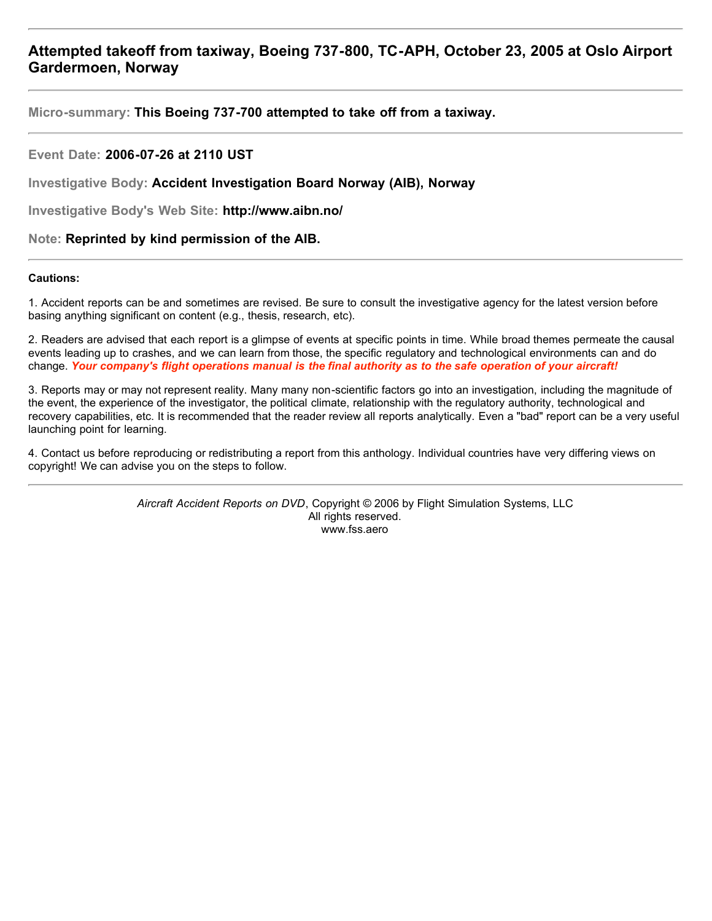**Micro-summary: This Boeing 737-700 attempted to take off from a taxiway.**

#### **Event Date: 2006-07-26 at 2110 UST**

**Investigative Body: Accident Investigation Board Norway (AIB), Norway**

**Investigative Body's Web Site: http://www.aibn.no/**

#### **Note: Reprinted by kind permission of the AIB.**

#### **Cautions:**

1. Accident reports can be and sometimes are revised. Be sure to consult the investigative agency for the latest version before basing anything significant on content (e.g., thesis, research, etc).

2. Readers are advised that each report is a glimpse of events at specific points in time. While broad themes permeate the causal events leading up to crashes, and we can learn from those, the specific regulatory and technological environments can and do change. *Your company's flight operations manual is the final authority as to the safe operation of your aircraft!*

3. Reports may or may not represent reality. Many many non-scientific factors go into an investigation, including the magnitude of the event, the experience of the investigator, the political climate, relationship with the regulatory authority, technological and recovery capabilities, etc. It is recommended that the reader review all reports analytically. Even a "bad" report can be a very useful launching point for learning.

4. Contact us before reproducing or redistributing a report from this anthology. Individual countries have very differing views on copyright! We can advise you on the steps to follow.

> *Aircraft Accident Reports on DVD*, Copyright © 2006 by Flight Simulation Systems, LLC All rights reserved. www.fss.aero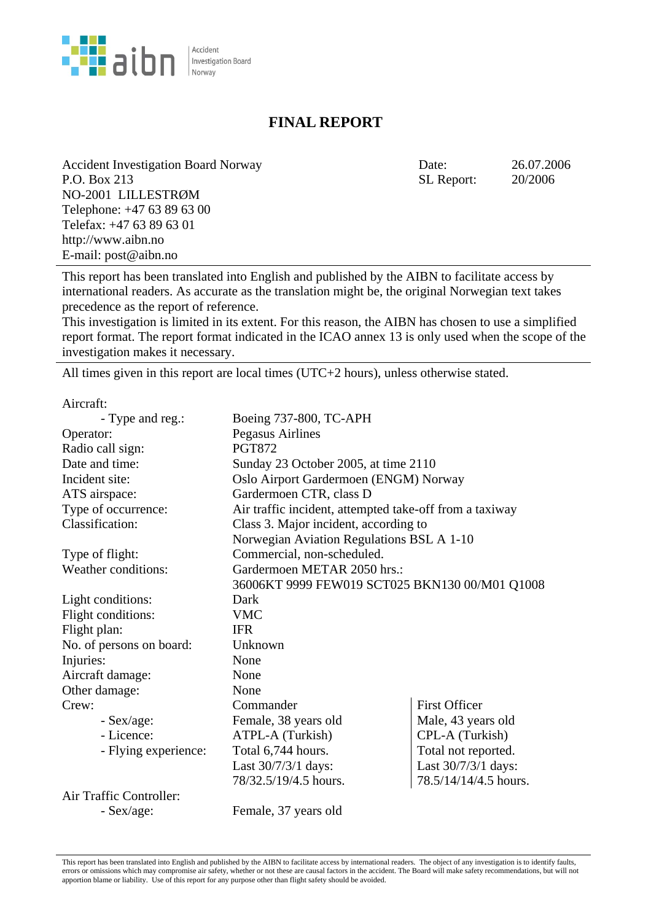

## **FINAL REPORT**

Accident Investigation Board Norway Date: 26.07.2006 P.O. Box 213 NO-2001 LILLESTRØM Telephone: +47 63 89 63 00 Telefax: +47 63 89 63 01 http://www.aibn.no E-mail: post@aibn.no

SL Report: 20/2006

This report has been translated into English and published by the AIBN to facilitate access by international readers. As accurate as the translation might be, the original Norwegian text takes precedence as the report of reference.

This investigation is limited in its extent. For this reason, the AIBN has chosen to use a simplified report format. The report format indicated in the ICAO annex 13 is only used when the scope of the investigation makes it necessary.

All times given in this report are local times (UTC+2 hours), unless otherwise stated.

Aircraft:

| - Type and reg.:           | Boeing 737-800, TC-APH                                  |                       |
|----------------------------|---------------------------------------------------------|-----------------------|
| Operator:                  | Pegasus Airlines                                        |                       |
| Radio call sign:           | <b>PGT872</b>                                           |                       |
| Date and time:             | Sunday 23 October 2005, at time 2110                    |                       |
| Incident site:             | Oslo Airport Gardermoen (ENGM) Norway                   |                       |
| ATS airspace:              | Gardermoen CTR, class D                                 |                       |
| Type of occurrence:        | Air traffic incident, attempted take-off from a taxiway |                       |
| Classification:            | Class 3. Major incident, according to                   |                       |
|                            | Norwegian Aviation Regulations BSL A 1-10               |                       |
| Type of flight:            | Commercial, non-scheduled.                              |                       |
| <b>Weather conditions:</b> | Gardermoen METAR 2050 hrs.:                             |                       |
|                            | 36006KT 9999 FEW019 SCT025 BKN130 00/M01 Q1008          |                       |
| Light conditions:          | Dark                                                    |                       |
| Flight conditions:         | <b>VMC</b>                                              |                       |
| Flight plan:               | <b>IFR</b>                                              |                       |
| No. of persons on board:   | Unknown                                                 |                       |
| Injuries:                  | None                                                    |                       |
| Aircraft damage:           | None                                                    |                       |
| Other damage:              | None                                                    |                       |
| Crew:                      | Commander                                               | <b>First Officer</b>  |
| $-$ Sex/age:               | Female, 38 years old                                    | Male, 43 years old    |
| - Licence:                 | ATPL-A (Turkish)                                        | CPL-A (Turkish)       |
| - Flying experience:       | Total 6,744 hours.                                      | Total not reported.   |
|                            | Last 30/7/3/1 days:                                     | Last 30/7/3/1 days:   |
|                            | 78/32.5/19/4.5 hours.                                   | 78.5/14/14/4.5 hours. |
| Air Traffic Controller:    |                                                         |                       |

- Sex/age: Female, 37 years old

This report has been translated into English and published by the AIBN to facilitate access by international readers. The object of any investigation is to identify faults, errors or omissions which may compromise air safety, whether or not these are causal factors in the accident. The Board will make safety recommendations, but will not apportion blame or liability. Use of this report for any purpose other than flight safety should be avoided.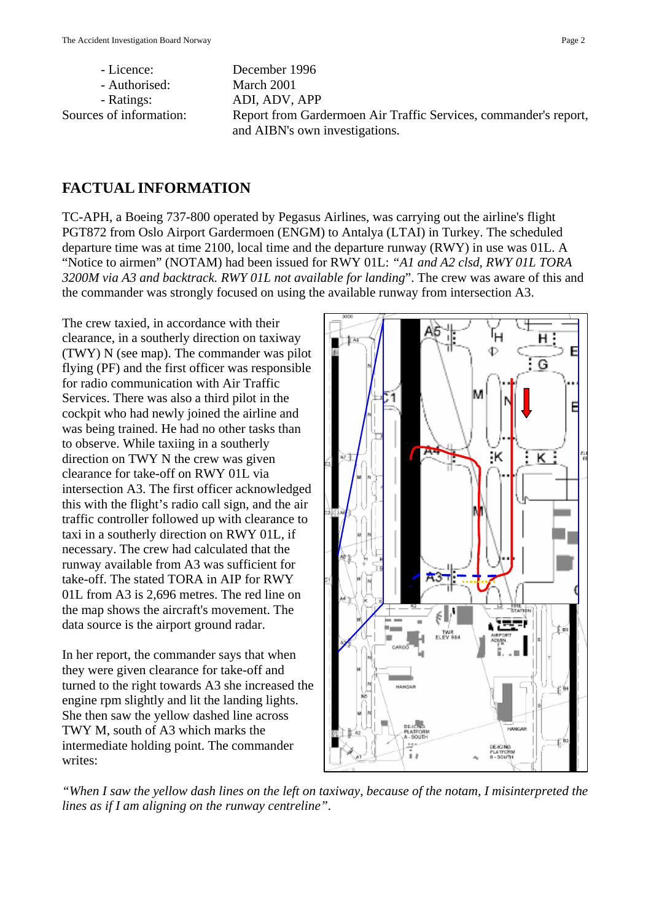Sources of information: Report from Gardermoen Air Traffic Services, commander's report, and AIBN's own investigations.

## **FACTUAL INFORMATION**

TC-APH, a Boeing 737-800 operated by Pegasus Airlines, was carrying out the airline's flight PGT872 from Oslo Airport Gardermoen (ENGM) to Antalya (LTAI) in Turkey. The scheduled departure time was at time 2100, local time and the departure runway (RWY) in use was 01L. A "Notice to airmen" (NOTAM) had been issued for RWY 01L: *"A1 and A2 clsd, RWY 01L TORA 3200M via A3 and backtrack. RWY 01L not available for landing*". The crew was aware of this and the commander was strongly focused on using the available runway from intersection A3.

The crew taxied, in accordance with their clearance, in a southerly direction on taxiway (TWY) N (see map). The commander was pilot flying (PF) and the first officer was responsible for radio communication with Air Traffic Services. There was also a third pilot in the cockpit who had newly joined the airline and was being trained. He had no other tasks than to observe. While taxiing in a southerly direction on TWY N the crew was given clearance for take-off on RWY 01L via intersection A3. The first officer acknowledged this with the flight's radio call sign, and the air traffic controller followed up with clearance to taxi in a southerly direction on RWY 01L, if necessary. The crew had calculated that the runway available from A3 was sufficient for take-off. The stated TORA in AIP for RWY 01L from A3 is 2,696 metres. The red line on the map shows the aircraft's movement. The data source is the airport ground radar.

In her report, the commander says that when they were given clearance for take-off and turned to the right towards A3 she increased the engine rpm slightly and lit the landing lights. She then saw the yellow dashed line across TWY M, south of A3 which marks the intermediate holding point. The commander writes:



*"When I saw the yellow dash lines on the left on taxiway, because of the notam, I misinterpreted the lines as if I am aligning on the runway centreline"*.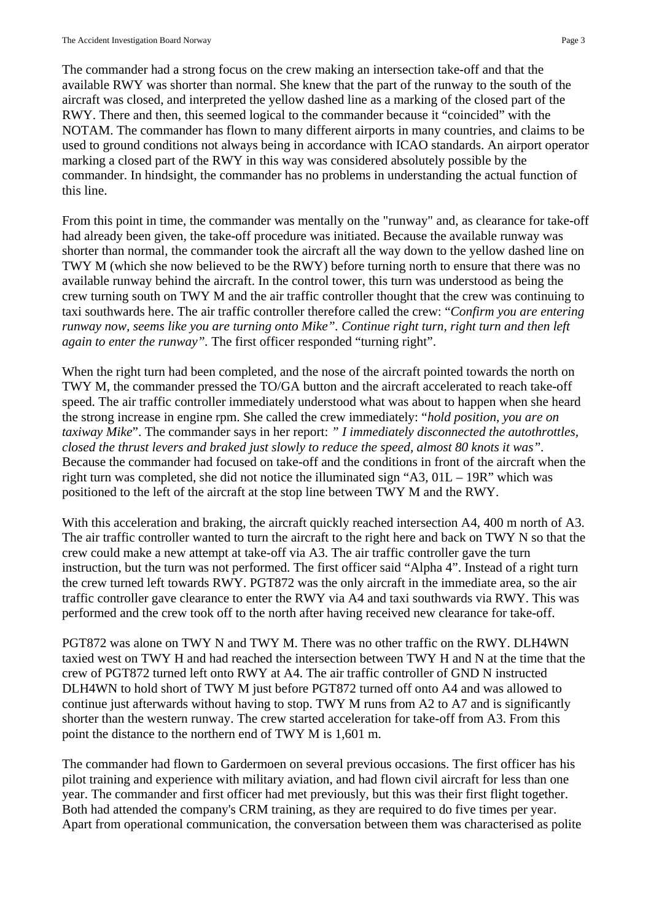The commander had a strong focus on the crew making an intersection take-off and that the available RWY was shorter than normal. She knew that the part of the runway to the south of the aircraft was closed, and interpreted the yellow dashed line as a marking of the closed part of the RWY. There and then, this seemed logical to the commander because it "coincided" with the NOTAM. The commander has flown to many different airports in many countries, and claims to be used to ground conditions not always being in accordance with ICAO standards. An airport operator marking a closed part of the RWY in this way was considered absolutely possible by the commander. In hindsight, the commander has no problems in understanding the actual function of this line.

From this point in time, the commander was mentally on the "runway" and, as clearance for take-off had already been given, the take-off procedure was initiated. Because the available runway was shorter than normal, the commander took the aircraft all the way down to the yellow dashed line on TWY M (which she now believed to be the RWY) before turning north to ensure that there was no available runway behind the aircraft. In the control tower, this turn was understood as being the crew turning south on TWY M and the air traffic controller thought that the crew was continuing to taxi southwards here. The air traffic controller therefore called the crew: "*Confirm you are entering runway now, seems like you are turning onto Mike". Continue right turn, right turn and then left again to enter the runway".* The first officer responded "turning right".

When the right turn had been completed, and the nose of the aircraft pointed towards the north on TWY M, the commander pressed the TO/GA button and the aircraft accelerated to reach take-off speed. The air traffic controller immediately understood what was about to happen when she heard the strong increase in engine rpm. She called the crew immediately: "*hold position, you are on taxiway Mike*". The commander says in her report: *" I immediately disconnected the autothrottles, closed the thrust levers and braked just slowly to reduce the speed, almost 80 knots it was".*  Because the commander had focused on take-off and the conditions in front of the aircraft when the right turn was completed, she did not notice the illuminated sign "A3, 01L – 19R" which was positioned to the left of the aircraft at the stop line between TWY M and the RWY.

With this acceleration and braking, the aircraft quickly reached intersection A4, 400 m north of A3. The air traffic controller wanted to turn the aircraft to the right here and back on TWY N so that the crew could make a new attempt at take-off via A3. The air traffic controller gave the turn instruction, but the turn was not performed. The first officer said "Alpha 4". Instead of a right turn the crew turned left towards RWY. PGT872 was the only aircraft in the immediate area, so the air traffic controller gave clearance to enter the RWY via A4 and taxi southwards via RWY. This was performed and the crew took off to the north after having received new clearance for take-off.

PGT872 was alone on TWY N and TWY M. There was no other traffic on the RWY. DLH4WN taxied west on TWY H and had reached the intersection between TWY H and N at the time that the crew of PGT872 turned left onto RWY at A4. The air traffic controller of GND N instructed DLH4WN to hold short of TWY M just before PGT872 turned off onto A4 and was allowed to continue just afterwards without having to stop. TWY M runs from A2 to A7 and is significantly shorter than the western runway. The crew started acceleration for take-off from A3. From this point the distance to the northern end of TWY M is 1,601 m.

The commander had flown to Gardermoen on several previous occasions. The first officer has his pilot training and experience with military aviation, and had flown civil aircraft for less than one year. The commander and first officer had met previously, but this was their first flight together. Both had attended the company's CRM training, as they are required to do five times per year. Apart from operational communication, the conversation between them was characterised as polite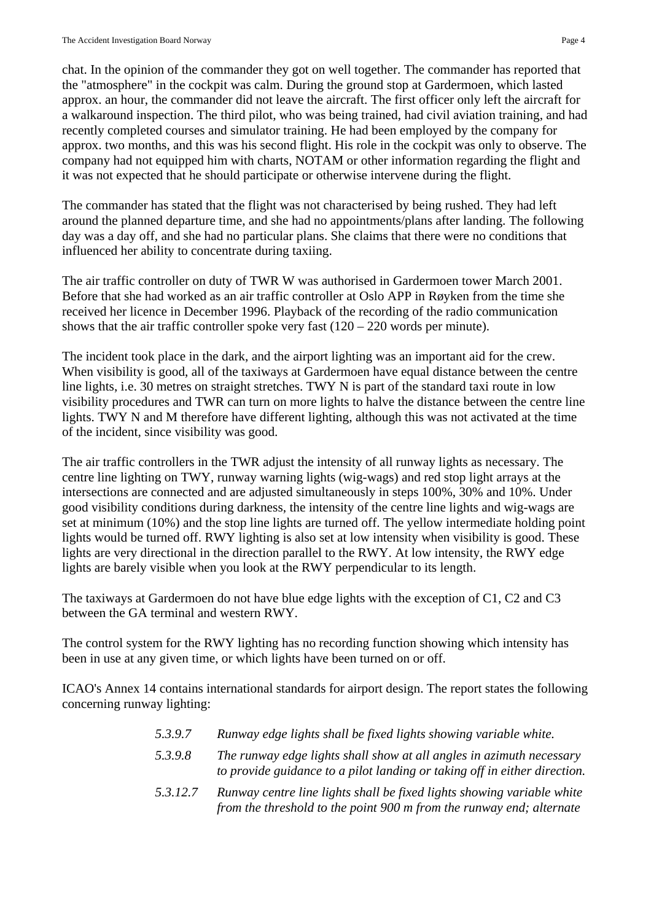chat. In the opinion of the commander they got on well together. The commander has reported that the "atmosphere" in the cockpit was calm. During the ground stop at Gardermoen, which lasted approx. an hour, the commander did not leave the aircraft. The first officer only left the aircraft for a walkaround inspection. The third pilot, who was being trained, had civil aviation training, and had recently completed courses and simulator training. He had been employed by the company for approx. two months, and this was his second flight. His role in the cockpit was only to observe. The company had not equipped him with charts, NOTAM or other information regarding the flight and it was not expected that he should participate or otherwise intervene during the flight.

The commander has stated that the flight was not characterised by being rushed. They had left around the planned departure time, and she had no appointments/plans after landing. The following day was a day off, and she had no particular plans. She claims that there were no conditions that influenced her ability to concentrate during taxiing.

The air traffic controller on duty of TWR W was authorised in Gardermoen tower March 2001. Before that she had worked as an air traffic controller at Oslo APP in Røyken from the time she received her licence in December 1996. Playback of the recording of the radio communication shows that the air traffic controller spoke very fast  $(120 - 220$  words per minute).

The incident took place in the dark, and the airport lighting was an important aid for the crew. When visibility is good, all of the taxiways at Gardermoen have equal distance between the centre line lights, i.e. 30 metres on straight stretches. TWY N is part of the standard taxi route in low visibility procedures and TWR can turn on more lights to halve the distance between the centre line lights. TWY N and M therefore have different lighting, although this was not activated at the time of the incident, since visibility was good.

The air traffic controllers in the TWR adjust the intensity of all runway lights as necessary. The centre line lighting on TWY, runway warning lights (wig-wags) and red stop light arrays at the intersections are connected and are adjusted simultaneously in steps 100%, 30% and 10%. Under good visibility conditions during darkness, the intensity of the centre line lights and wig-wags are set at minimum (10%) and the stop line lights are turned off. The yellow intermediate holding point lights would be turned off. RWY lighting is also set at low intensity when visibility is good. These lights are very directional in the direction parallel to the RWY. At low intensity, the RWY edge lights are barely visible when you look at the RWY perpendicular to its length.

The taxiways at Gardermoen do not have blue edge lights with the exception of C1, C2 and C3 between the GA terminal and western RWY.

The control system for the RWY lighting has no recording function showing which intensity has been in use at any given time, or which lights have been turned on or off.

ICAO's Annex 14 contains international standards for airport design. The report states the following concerning runway lighting:

- *5.3.9.7 Runway edge lights shall be fixed lights showing variable white.*
- *5.3.9.8 The runway edge lights shall show at all angles in azimuth necessary to provide guidance to a pilot landing or taking off in either direction.*
- *5.3.12.7 Runway centre line lights shall be fixed lights showing variable white from the threshold to the point 900 m from the runway end; alternate*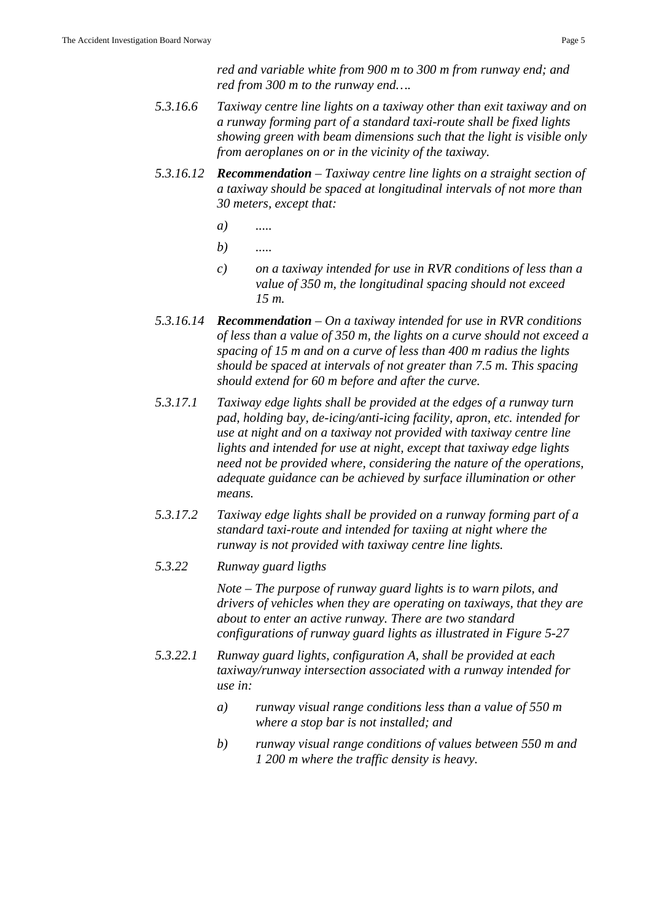*red and variable white from 900 m to 300 m from runway end; and red from 300 m to the runway end….* 

- *5.3.16.6 Taxiway centre line lights on a taxiway other than exit taxiway and on a runway forming part of a standard taxi-route shall be fixed lights showing green with beam dimensions such that the light is visible only from aeroplanes on or in the vicinity of the taxiway.*
- *5.3.16.12 Recommendation Taxiway centre line lights on a straight section of a taxiway should be spaced at longitudinal intervals of not more than 30 meters, except that:*
- *a) .....*
- *b) .....* 
	- *c) on a taxiway intended for use in RVR conditions of less than a value of 350 m, the longitudinal spacing should not exceed 15 m.*
- *5.3.16.14 Recommendation On a taxiway intended for use in RVR conditions of less than a value of 350 m, the lights on a curve should not exceed a spacing of 15 m and on a curve of less than 400 m radius the lights should be spaced at intervals of not greater than 7.5 m. This spacing should extend for 60 m before and after the curve.*
- *5.3.17.1 Taxiway edge lights shall be provided at the edges of a runway turn pad, holding bay, de-icing/anti-icing facility, apron, etc. intended for use at night and on a taxiway not provided with taxiway centre line lights and intended for use at night, except that taxiway edge lights need not be provided where, considering the nature of the operations, adequate guidance can be achieved by surface illumination or other means.*
- *5.3.17.2 Taxiway edge lights shall be provided on a runway forming part of a standard taxi-route and intended for taxiing at night where the runway is not provided with taxiway centre line lights.*
- *5.3.22 Runway guard ligths*

 *Note – The purpose of runway guard lights is to warn pilots, and drivers of vehicles when they are operating on taxiways, that they are about to enter an active runway. There are two standard configurations of runway guard lights as illustrated in Figure 5-27* 

- *5.3.22.1 Runway guard lights, configuration A, shall be provided at each taxiway/runway intersection associated with a runway intended for use in:* 
	- *a) runway visual range conditions less than a value of 550 m where a stop bar is not installed; and*
	- *b) runway visual range conditions of values between 550 m and 1 200 m where the traffic density is heavy.*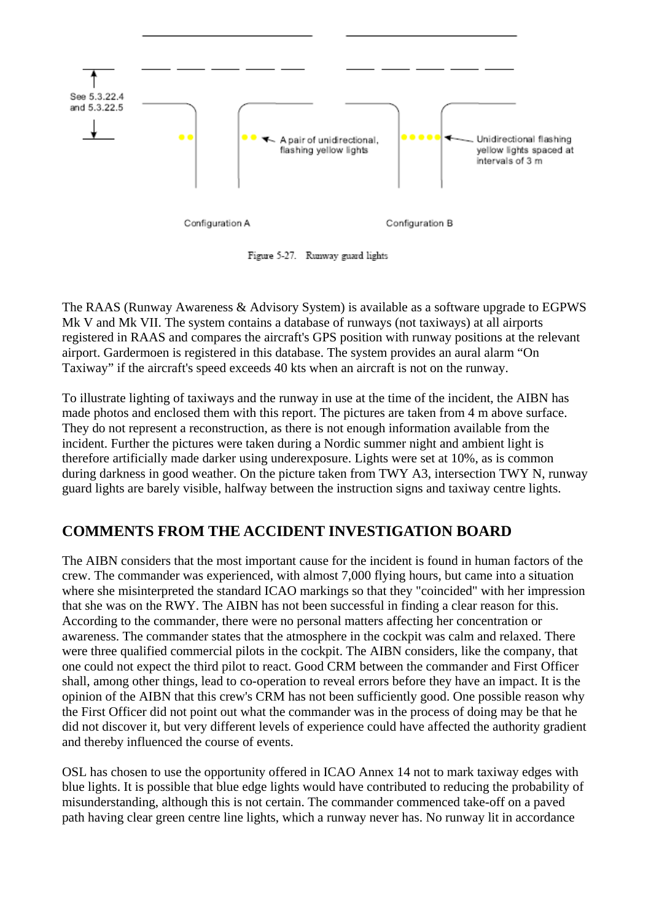

Figure 5-27. Runway guard lights

The RAAS (Runway Awareness & Advisory System) is available as a software upgrade to EGPWS Mk V and Mk VII. The system contains a database of runways (not taxiways) at all airports registered in RAAS and compares the aircraft's GPS position with runway positions at the relevant airport. Gardermoen is registered in this database. The system provides an aural alarm "On Taxiway" if the aircraft's speed exceeds 40 kts when an aircraft is not on the runway.

To illustrate lighting of taxiways and the runway in use at the time of the incident, the AIBN has made photos and enclosed them with this report. The pictures are taken from 4 m above surface. They do not represent a reconstruction, as there is not enough information available from the incident. Further the pictures were taken during a Nordic summer night and ambient light is therefore artificially made darker using underexposure. Lights were set at 10%, as is common during darkness in good weather. On the picture taken from TWY A3, intersection TWY N, runway guard lights are barely visible, halfway between the instruction signs and taxiway centre lights.

# **COMMENTS FROM THE ACCIDENT INVESTIGATION BOARD**

The AIBN considers that the most important cause for the incident is found in human factors of the crew. The commander was experienced, with almost 7,000 flying hours, but came into a situation where she misinterpreted the standard ICAO markings so that they "coincided" with her impression that she was on the RWY. The AIBN has not been successful in finding a clear reason for this. According to the commander, there were no personal matters affecting her concentration or awareness. The commander states that the atmosphere in the cockpit was calm and relaxed. There were three qualified commercial pilots in the cockpit. The AIBN considers, like the company, that one could not expect the third pilot to react. Good CRM between the commander and First Officer shall, among other things, lead to co-operation to reveal errors before they have an impact. It is the opinion of the AIBN that this crew's CRM has not been sufficiently good. One possible reason why the First Officer did not point out what the commander was in the process of doing may be that he did not discover it, but very different levels of experience could have affected the authority gradient and thereby influenced the course of events.

OSL has chosen to use the opportunity offered in ICAO Annex 14 not to mark taxiway edges with blue lights. It is possible that blue edge lights would have contributed to reducing the probability of misunderstanding, although this is not certain. The commander commenced take-off on a paved path having clear green centre line lights, which a runway never has. No runway lit in accordance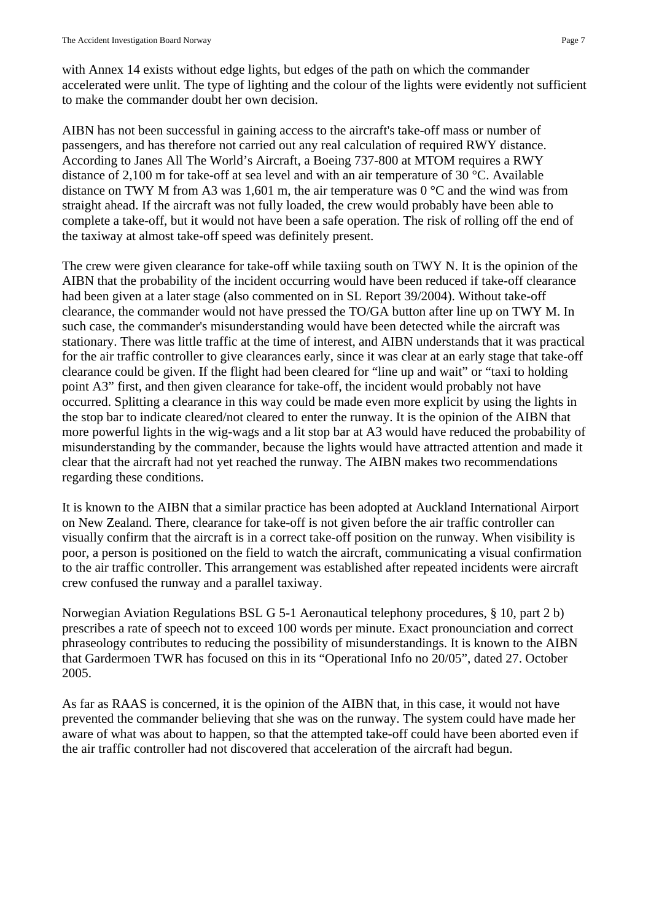with Annex 14 exists without edge lights, but edges of the path on which the commander accelerated were unlit. The type of lighting and the colour of the lights were evidently not sufficient to make the commander doubt her own decision.

AIBN has not been successful in gaining access to the aircraft's take-off mass or number of passengers, and has therefore not carried out any real calculation of required RWY distance. According to Janes All The World's Aircraft, a Boeing 737-800 at MTOM requires a RWY distance of 2,100 m for take-off at sea level and with an air temperature of 30 °C. Available distance on TWY M from A3 was 1,601 m, the air temperature was  $0^{\circ}$ C and the wind was from straight ahead. If the aircraft was not fully loaded, the crew would probably have been able to complete a take-off, but it would not have been a safe operation. The risk of rolling off the end of the taxiway at almost take-off speed was definitely present.

The crew were given clearance for take-off while taxiing south on TWY N. It is the opinion of the AIBN that the probability of the incident occurring would have been reduced if take-off clearance had been given at a later stage (also commented on in SL Report 39/2004). Without take-off clearance, the commander would not have pressed the TO/GA button after line up on TWY M. In such case, the commander's misunderstanding would have been detected while the aircraft was stationary. There was little traffic at the time of interest, and AIBN understands that it was practical for the air traffic controller to give clearances early, since it was clear at an early stage that take-off clearance could be given. If the flight had been cleared for "line up and wait" or "taxi to holding point A3" first, and then given clearance for take-off, the incident would probably not have occurred. Splitting a clearance in this way could be made even more explicit by using the lights in the stop bar to indicate cleared/not cleared to enter the runway. It is the opinion of the AIBN that more powerful lights in the wig-wags and a lit stop bar at A3 would have reduced the probability of misunderstanding by the commander, because the lights would have attracted attention and made it clear that the aircraft had not yet reached the runway. The AIBN makes two recommendations regarding these conditions.

It is known to the AIBN that a similar practice has been adopted at Auckland International Airport on New Zealand. There, clearance for take-off is not given before the air traffic controller can visually confirm that the aircraft is in a correct take-off position on the runway. When visibility is poor, a person is positioned on the field to watch the aircraft, communicating a visual confirmation to the air traffic controller. This arrangement was established after repeated incidents were aircraft crew confused the runway and a parallel taxiway.

Norwegian Aviation Regulations BSL G 5-1 Aeronautical telephony procedures, § 10, part 2 b) prescribes a rate of speech not to exceed 100 words per minute. Exact pronounciation and correct phraseology contributes to reducing the possibility of misunderstandings. It is known to the AIBN that Gardermoen TWR has focused on this in its "Operational Info no 20/05", dated 27. October 2005.

As far as RAAS is concerned, it is the opinion of the AIBN that, in this case, it would not have prevented the commander believing that she was on the runway. The system could have made her aware of what was about to happen, so that the attempted take-off could have been aborted even if the air traffic controller had not discovered that acceleration of the aircraft had begun.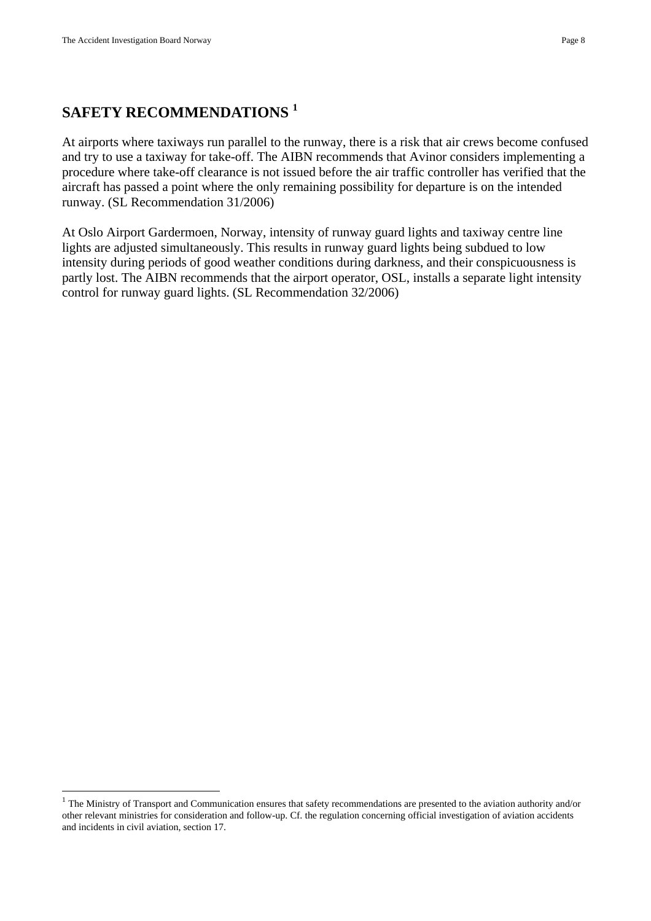$\overline{a}$ 

# **SAFETY RECOMMENDATIONS 1**

At airports where taxiways run parallel to the runway, there is a risk that air crews become confused and try to use a taxiway for take-off. The AIBN recommends that Avinor considers implementing a procedure where take-off clearance is not issued before the air traffic controller has verified that the aircraft has passed a point where the only remaining possibility for departure is on the intended runway. (SL Recommendation 31/2006)

At Oslo Airport Gardermoen, Norway, intensity of runway guard lights and taxiway centre line lights are adjusted simultaneously. This results in runway guard lights being subdued to low intensity during periods of good weather conditions during darkness, and their conspicuousness is partly lost. The AIBN recommends that the airport operator, OSL, installs a separate light intensity control for runway guard lights. (SL Recommendation 32/2006)

<sup>&</sup>lt;sup>1</sup> The Ministry of Transport and Communication ensures that safety recommendations are presented to the aviation authority and/or other relevant ministries for consideration and follow-up. Cf. the regulation concerning official investigation of aviation accidents and incidents in civil aviation, section 17.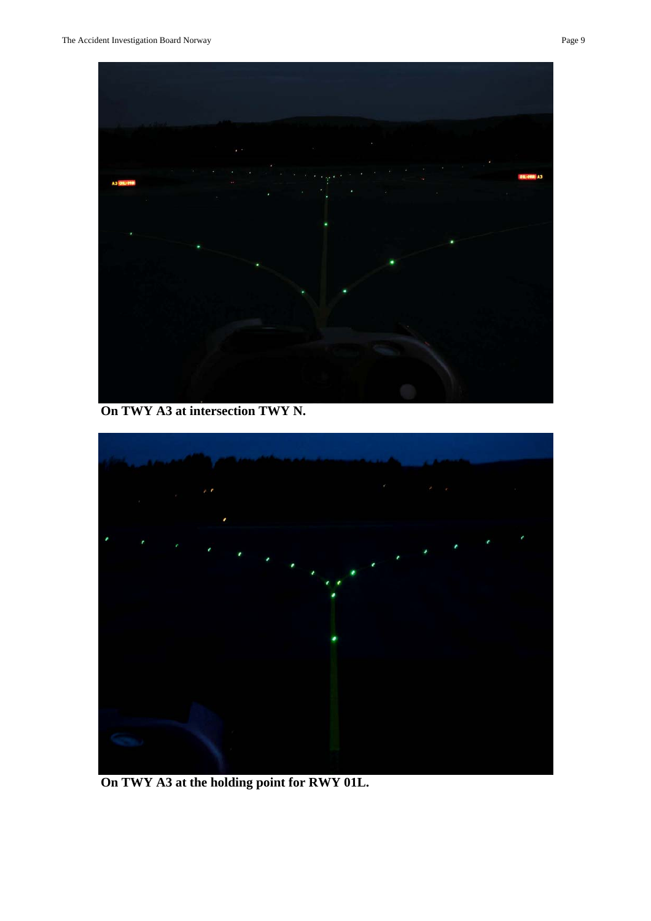

 **On TWY A3 at intersection TWY N.** 



 **On TWY A3 at the holding point for RWY 01L.**